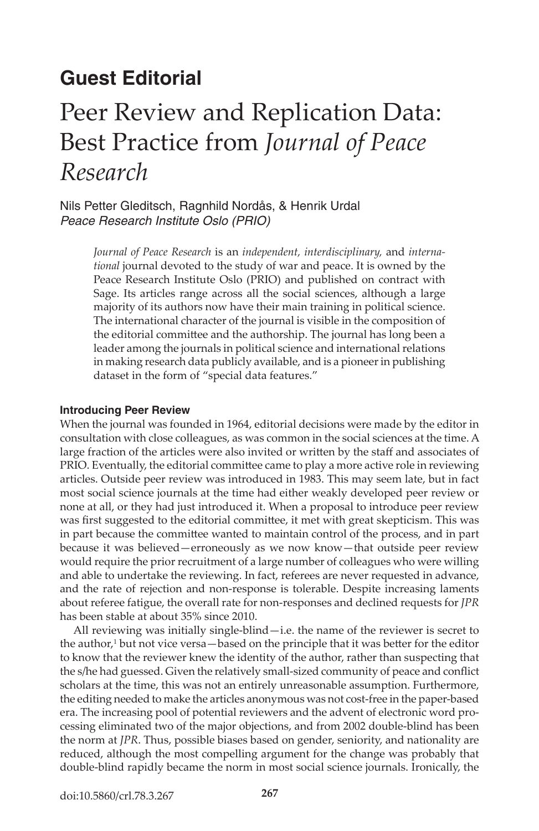# **Guest Editorial**

# Peer Review and Replication Data: Best Practice from *Journal of Peace Research*

Nils Petter Gleditsch, Ragnhild Nordås, & Henrik Urdal *Peace Research Institute Oslo (PRIO)*

> *Journal of Peace Research* is an *independent, interdisciplinary,* and *international* journal devoted to the study of war and peace. It is owned by the Peace Research Institute Oslo (PRIO) and published on contract with Sage. Its articles range across all the social sciences, although a large majority of its authors now have their main training in political science. The international character of the journal is visible in the composition of the editorial committee and the authorship. The journal has long been a leader among the journals in political science and international relations in making research data publicly available, and is a pioneer in publishing dataset in the form of "special data features."

#### **Introducing Peer Review**

When the journal was founded in 1964, editorial decisions were made by the editor in consultation with close colleagues, as was common in the social sciences at the time. A large fraction of the articles were also invited or written by the staff and associates of PRIO. Eventually, the editorial committee came to play a more active role in reviewing articles. Outside peer review was introduced in 1983. This may seem late, but in fact most social science journals at the time had either weakly developed peer review or none at all, or they had just introduced it. When a proposal to introduce peer review was first suggested to the editorial committee, it met with great skepticism. This was in part because the committee wanted to maintain control of the process, and in part because it was believed—erroneously as we now know—that outside peer review would require the prior recruitment of a large number of colleagues who were willing and able to undertake the reviewing. In fact, referees are never requested in advance, and the rate of rejection and non-response is tolerable. Despite increasing laments about referee fatigue, the overall rate for non-responses and declined requests for *JPR* has been stable at about 35% since 2010.

All reviewing was initially single-blind—i.e. the name of the reviewer is secret to the author,<sup>1</sup> but not vice versa—based on the principle that it was better for the editor to know that the reviewer knew the identity of the author, rather than suspecting that the s/he had guessed. Given the relatively small-sized community of peace and conflict scholars at the time, this was not an entirely unreasonable assumption. Furthermore, the editing needed to make the articles anonymous was not cost-free in the paper-based era. The increasing pool of potential reviewers and the advent of electronic word processing eliminated two of the major objections, and from 2002 double-blind has been the norm at *JPR*. Thus, possible biases based on gender, seniority, and nationality are reduced, although the most compelling argument for the change was probably that double-blind rapidly became the norm in most social science journals. Ironically, the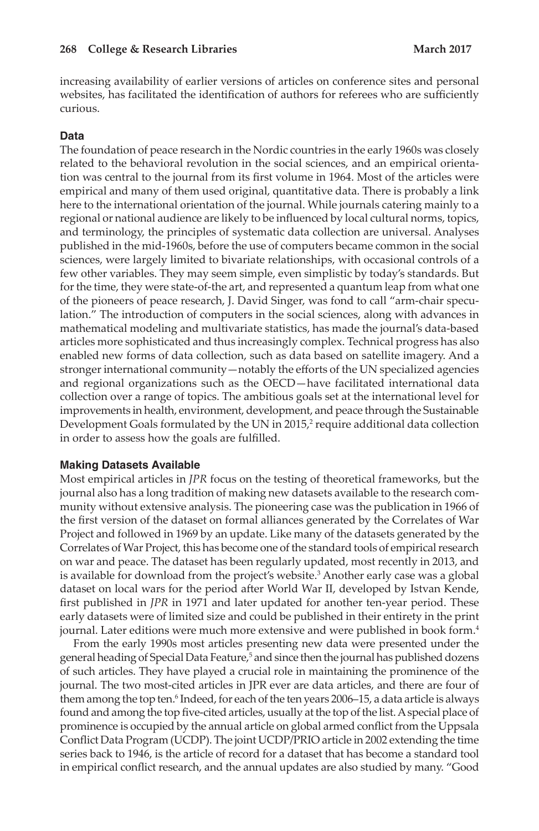increasing availability of earlier versions of articles on conference sites and personal websites, has facilitated the identification of authors for referees who are sufficiently curious.

# **Data**

The foundation of peace research in the Nordic countries in the early 1960s was closely related to the behavioral revolution in the social sciences, and an empirical orientation was central to the journal from its first volume in 1964. Most of the articles were empirical and many of them used original, quantitative data. There is probably a link here to the international orientation of the journal. While journals catering mainly to a regional or national audience are likely to be influenced by local cultural norms, topics, and terminology, the principles of systematic data collection are universal. Analyses published in the mid-1960s, before the use of computers became common in the social sciences, were largely limited to bivariate relationships, with occasional controls of a few other variables. They may seem simple, even simplistic by today's standards. But for the time, they were state-of-the art, and represented a quantum leap from what one of the pioneers of peace research, J. David Singer, was fond to call "arm-chair speculation." The introduction of computers in the social sciences, along with advances in mathematical modeling and multivariate statistics, has made the journal's data-based articles more sophisticated and thus increasingly complex. Technical progress has also enabled new forms of data collection, such as data based on satellite imagery. And a stronger international community—notably the efforts of the UN specialized agencies and regional organizations such as the OECD—have facilitated international data collection over a range of topics. The ambitious goals set at the international level for improvements in health, environment, development, and peace through the Sustainable Development Goals formulated by the UN in 2015,<sup>2</sup> require additional data collection in order to assess how the goals are fulfilled.

# **Making Datasets Available**

Most empirical articles in *JPR* focus on the testing of theoretical frameworks, but the journal also has a long tradition of making new datasets available to the research community without extensive analysis. The pioneering case was the publication in 1966 of the first version of the dataset on formal alliances generated by the Correlates of War Project and followed in 1969 by an update. Like many of the datasets generated by the Correlates of War Project, this has become one of the standard tools of empirical research on war and peace. The dataset has been regularly updated, most recently in 2013, and is available for download from the project's website.<sup>3</sup> Another early case was a global dataset on local wars for the period after World War II, developed by Istvan Kende, first published in *JPR* in 1971 and later updated for another ten-year period. These early datasets were of limited size and could be published in their entirety in the print journal. Later editions were much more extensive and were published in book form.4

From the early 1990s most articles presenting new data were presented under the general heading of Special Data Feature,<sup>5</sup> and since then the journal has published dozens of such articles. They have played a crucial role in maintaining the prominence of the journal. The two most-cited articles in JPR ever are data articles, and there are four of them among the top ten.<sup>6</sup> Indeed, for each of the ten years 2006–15, a data article is always found and among the top five-cited articles, usually at the top of the list. A special place of prominence is occupied by the annual article on global armed conflict from the Uppsala Conflict Data Program (UCDP). The joint UCDP/PRIO article in 2002 extending the time series back to 1946, is the article of record for a dataset that has become a standard tool in empirical conflict research, and the annual updates are also studied by many. "Good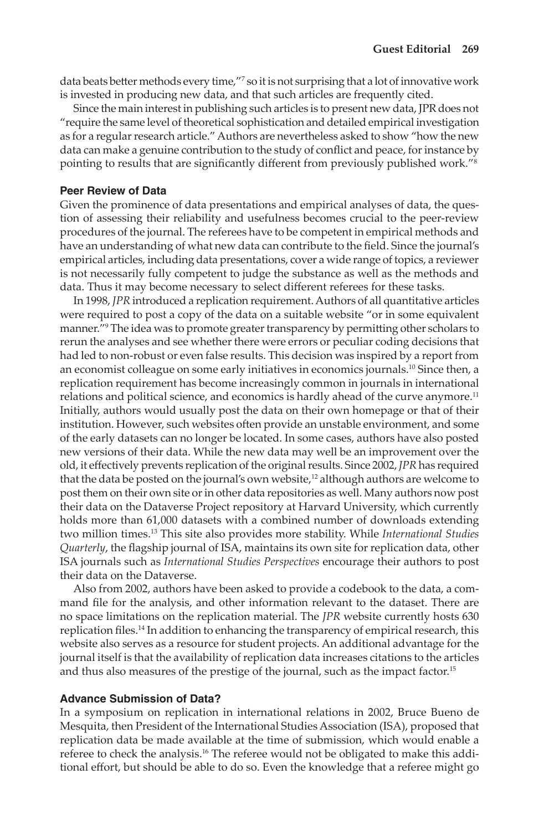data beats better methods every time,"<sup>7</sup> so it is not surprising that a lot of innovative work is invested in producing new data, and that such articles are frequently cited.

Since the main interest in publishing such articles is to present new data, JPR does not "require the same level of theoretical sophistication and detailed empirical investigation as for a regular research article." Authors are nevertheless asked to show "how the new data can make a genuine contribution to the study of conflict and peace, for instance by pointing to results that are significantly different from previously published work."<sup>8</sup>

# **Peer Review of Data**

Given the prominence of data presentations and empirical analyses of data, the question of assessing their reliability and usefulness becomes crucial to the peer-review procedures of the journal. The referees have to be competent in empirical methods and have an understanding of what new data can contribute to the field. Since the journal's empirical articles, including data presentations, cover a wide range of topics, a reviewer is not necessarily fully competent to judge the substance as well as the methods and data. Thus it may become necessary to select different referees for these tasks.

In 1998, *JPR* introduced a replication requirement. Authors of all quantitative articles were required to post a copy of the data on a suitable website "or in some equivalent manner."<sup>9</sup> The idea was to promote greater transparency by permitting other scholars to rerun the analyses and see whether there were errors or peculiar coding decisions that had led to non-robust or even false results. This decision was inspired by a report from an economist colleague on some early initiatives in economics journals.<sup>10</sup> Since then, a replication requirement has become increasingly common in journals in international relations and political science, and economics is hardly ahead of the curve anymore.<sup>11</sup> Initially, authors would usually post the data on their own homepage or that of their institution. However, such websites often provide an unstable environment, and some of the early datasets can no longer be located. In some cases, authors have also posted new versions of their data. While the new data may well be an improvement over the old, it effectively prevents replication of the original results. Since 2002, *JPR* has required that the data be posted on the journal's own website,<sup>12</sup> although authors are welcome to post them on their own site or in other data repositories as well. Many authors now post their data on the Dataverse Project repository at Harvard University, which currently holds more than 61,000 datasets with a combined number of downloads extending two million times.13 This site also provides more stability. While *International Studies Quarterly*, the flagship journal of ISA, maintains its own site for replication data, other ISA journals such as *International Studies Perspectives* encourage their authors to post their data on the Dataverse.

Also from 2002, authors have been asked to provide a codebook to the data, a command file for the analysis, and other information relevant to the dataset. There are no space limitations on the replication material. The *JPR* website currently hosts 630 replication files.14 In addition to enhancing the transparency of empirical research, this website also serves as a resource for student projects. An additional advantage for the journal itself is that the availability of replication data increases citations to the articles and thus also measures of the prestige of the journal, such as the impact factor.15

#### **Advance Submission of Data?**

In a symposium on replication in international relations in 2002, Bruce Bueno de Mesquita, then President of the International Studies Association (ISA), proposed that replication data be made available at the time of submission, which would enable a referee to check the analysis.<sup>16</sup> The referee would not be obligated to make this additional effort, but should be able to do so. Even the knowledge that a referee might go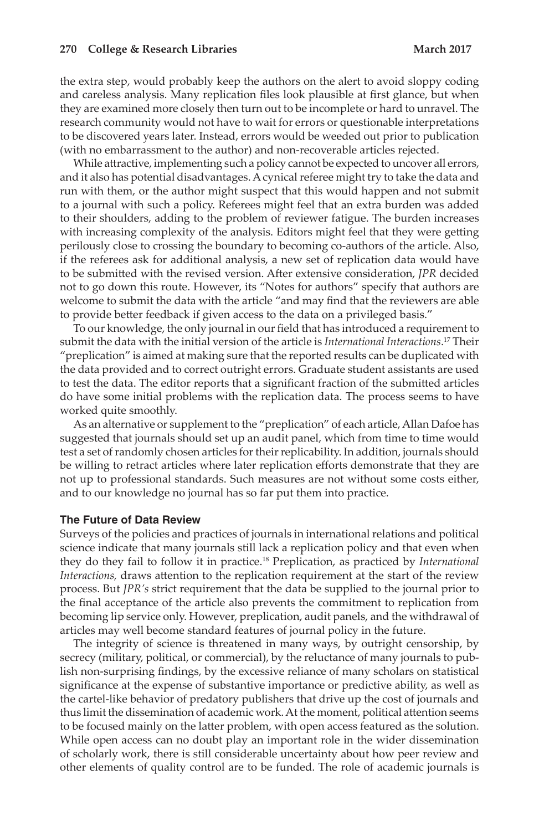#### **270 College & Research Libraries March 2017**

the extra step, would probably keep the authors on the alert to avoid sloppy coding and careless analysis. Many replication files look plausible at first glance, but when they are examined more closely then turn out to be incomplete or hard to unravel. The research community would not have to wait for errors or questionable interpretations to be discovered years later. Instead, errors would be weeded out prior to publication (with no embarrassment to the author) and non-recoverable articles rejected.

While attractive, implementing such a policy cannot be expected to uncover all errors, and it also has potential disadvantages. A cynical referee might try to take the data and run with them, or the author might suspect that this would happen and not submit to a journal with such a policy. Referees might feel that an extra burden was added to their shoulders, adding to the problem of reviewer fatigue. The burden increases with increasing complexity of the analysis. Editors might feel that they were getting perilously close to crossing the boundary to becoming co-authors of the article. Also, if the referees ask for additional analysis, a new set of replication data would have to be submitted with the revised version. After extensive consideration, *JPR* decided not to go down this route. However, its "Notes for authors" specify that authors are welcome to submit the data with the article "and may find that the reviewers are able to provide better feedback if given access to the data on a privileged basis."

To our knowledge, the only journal in our field that has introduced a requirement to submit the data with the initial version of the article is *International Interactions*. 17 Their "preplication" is aimed at making sure that the reported results can be duplicated with the data provided and to correct outright errors. Graduate student assistants are used to test the data. The editor reports that a significant fraction of the submitted articles do have some initial problems with the replication data. The process seems to have worked quite smoothly.

As an alternative or supplement to the "preplication" of each article, Allan Dafoe has suggested that journals should set up an audit panel, which from time to time would test a set of randomly chosen articles for their replicability. In addition, journals should be willing to retract articles where later replication efforts demonstrate that they are not up to professional standards. Such measures are not without some costs either, and to our knowledge no journal has so far put them into practice.

#### **The Future of Data Review**

Surveys of the policies and practices of journals in international relations and political science indicate that many journals still lack a replication policy and that even when they do they fail to follow it in practice.18 Preplication, as practiced by *International Interactions,* draws attention to the replication requirement at the start of the review process. But *JPR's* strict requirement that the data be supplied to the journal prior to the final acceptance of the article also prevents the commitment to replication from becoming lip service only. However, preplication, audit panels, and the withdrawal of articles may well become standard features of journal policy in the future.

The integrity of science is threatened in many ways, by outright censorship, by secrecy (military, political, or commercial), by the reluctance of many journals to publish non-surprising findings, by the excessive reliance of many scholars on statistical significance at the expense of substantive importance or predictive ability, as well as the cartel-like behavior of predatory publishers that drive up the cost of journals and thus limit the dissemination of academic work. At the moment, political attention seems to be focused mainly on the latter problem, with open access featured as the solution. While open access can no doubt play an important role in the wider dissemination of scholarly work, there is still considerable uncertainty about how peer review and other elements of quality control are to be funded. The role of academic journals is